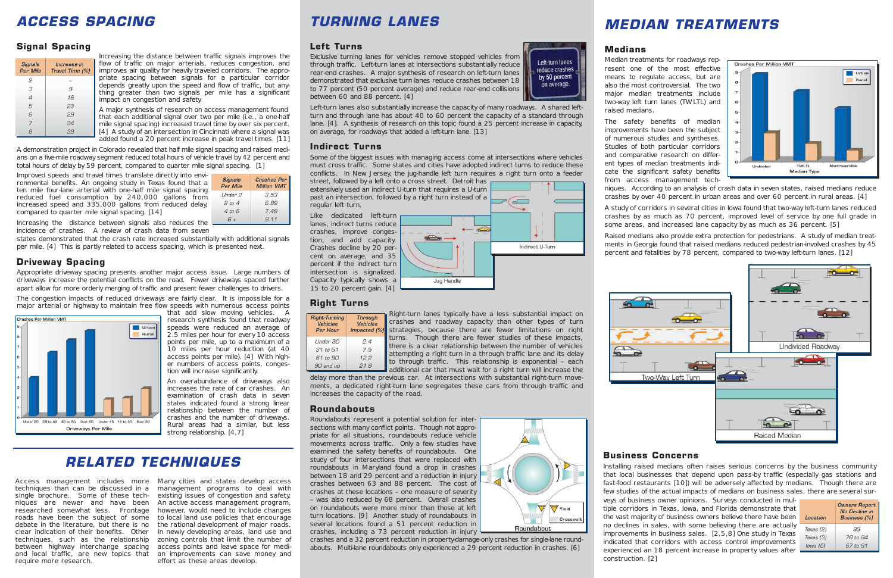# *ACCESS SPACING*

### **Signal Spacing**

| <b>Signals</b><br>Per Mile | Increase in<br>Travel Time [%] |
|----------------------------|--------------------------------|
| 2                          |                                |
| 3                          | 9                              |
| 4                          | 16                             |
| 5                          | 23                             |
| 6                          | 29                             |
|                            | 34                             |
| 8                          | 39                             |

Increasing the distance between traffic signals improves the flow of traffic on major arterials, reduces congestion, and improves air quality for heavily traveled corridors. The appropriate spacing between signals for a particular corridor depends greatly upon the speed and flow of traffic, but anything greater than two signals per mile has a significant impact on congestion and safety.

A major synthesis of research on access management found that each additional signal over two per mile (i.e., a one-half mile signal spacing) increased travel time by over six percent. [4] A study of an intersection in Cincinnati where a signal was added found a 20 percent increase in peak travel times. [11]

A demonstration project in Colorado revealed that half mile signal spacing and raised medians on a five-mile roadway segment reduced total hours of vehicle travel by 42 percent and total hours of delay by 59 percent, compared to quarter mile signal spacing. [1]

Improved speeds and travel times translate directly into environmental benefits. An ongoing study in Texas found that a ten mile four-lane arterial with one-half mile signal spacing reduced fuel consumption by 240,000 gallons from increased speed and 335,000 gallons from reduced delay, compared to quarter mile signal spacing. [14]

Signals Crashes Per **Million VMT Per Mile**  $3.53$ Under 2  $2 to 4$ 6.89  $4 to 6$ 7.49  $9.11$  $6+$ 

Increasing the distance between signals also reduces the incidence of crashes. A review of crash data from seven

states demonstrated that the crash rate increased substantially with additional signals per mile. [4] This is partly related to access spacing, which is presented next.

## **Driveway Spacing**

Appropriate driveway spacing presents another major access issue. Large numbers of driveways increase the potential conflicts on the road. Fewer driveways spaced further apart allow for more orderly merging of traffic and present fewer challenges to drivers.

The congestion impacts of reduced driveways are fairly clear. It is impossible for a major arterial or highway to maintain free flow speeds with numerous access points



that add slow moving vehicles. A research synthesis found that roadway speeds were reduced an average of 2.5 miles per hour for every 10 access points per mile, up to a maximum of a 10 miles per hour reduction (at 40 access points per mile). [4] With higher numbers of access points, congestion will increase significantly.

An overabundance of driveways also increases the rate of car crashes. An examination of crash data in seven states indicated found a strong linear relationship between the number of crashes and the number of driveways. Rural areas had a similar, but less strong relationship. [4,7]

## *MEDIAN TREATMENTS*



## **Medians**

Left-turn lanes

reduce crashes

by 50 percent

on average.

Indirect U-Turn

Median treatments for roadways represent one of the most effective means to regulate access, but are also the most controversial. The two major median treatments include two-way left turn lanes (TWLTL) and raised medians.

Right-turn lanes typically have a less substantial impact on crashes and roadway capacity than other types of turn strategies, because there are fewer limitations on right turns. Though there are fewer studies of these impacts, there is a clear relationship between the number of vehicles attempting a right turn in a through traffic lane and its delay to through traffic. This relationship is exponential – each additional car that must wait for a right turn will increase the **Soft** 

The safety benefits of median improvements have been the subject of numerous studies and syntheses. Studies of both particular corridors and comparative research on different types of median treatments indi-Undivided **TWLTL** Nontraversi cate the significant safety benefits **Median Type** from access management techniques. According to an analysis of crash data in seven states, raised medians reduce crashes by over 40 percent in urban areas and over 60 percent in rural areas. [4]

A study of corridors in several cities in Iowa found that two-way left-turn lanes reduced crashes by as much as 70 percent, improved level of service by one full grade in some areas, and increased lane capacity by as much as 36 percent. [5]

Raised medians also provide extra protection for pedestrians. A study of median treatments in Georgia found that raised medians reduced pedestrian-involved crashes by 45 percent and fatalities by 78 percent, compared to two-way left-turn lanes. [12]



# *TURNING LANES*

## **Left Turns**

Exclusive turning lanes for vehicles remove stopped vehicles from through traffic. Left-turn lanes at intersections substantially reduce rear-end crashes. A major synthesis of research on left-turn lanes demonstrated that exclusive turn lanes reduce crashes between 18 to 77 percent (50 percent average) and reduce rear-end collisions between 60 and 88 percent. [4]

Left-turn lanes also substantially increase the capacity of many roadways. A shared leftturn and through lane has about 40 to 60 percent the capacity of a standard through lane. [4]. A synthesis of research on this topic found a 25 percent increase in capacity, on average, for roadways that added a left-turn lane. [13]

## **Indirect Turns**

Some of the biggest issues with managing access come at intersections where vehicles must cross traffic. Some states and cities have adopted indirect turns to reduce these conflicts. In New Jersey, the jug-handle left turn requires a right turn onto a feeder

street, followed by a left onto a cross street. Detroit has extensively used an indirect U-turn that requires a U-turn past an intersection, followed by a right turn instead of a regular left turn.

Like dedicated left-turn lanes, indirect turns reduce crashes, improve congestion, and add capacity. Crashes decline by 20 percent on average, and 35 percent if the indirect turn intersection is signalized. Capacity typically shows a 15 to 20 percent gain. [4]

## **Right Turns**

| <b>Right-Turning</b><br>Vehicles<br>Per Hour | <b>Through</b><br><b>Vehicles</b><br>Impacted (% |  |
|----------------------------------------------|--------------------------------------------------|--|
| Under 30                                     | 2.4                                              |  |
| 31 to 61                                     | 7.5                                              |  |
| 61 to 90                                     | 12.2                                             |  |
| 90 and up                                    | 21.8                                             |  |

delay more than the previous car. At intersections with substantial right-turn movements, a dedicated right-turn lane segregates these cars from through traffic and increases the capacity of the road.

Jug Handle

## **Roundabouts**

Roundabouts represent a potential solution for intersections with many conflict points. Though not appropriate for all situations, roundabouts reduce vehicle movements across traffic. Only a few studies have examined the safety benefits of roundabouts. One study of four intersections that were replaced with roundabouts in Maryland found a drop in crashes between 18 and 29 percent and a reduction in injury crashes between 63 and 88 percent. The cost of crashes at these locations – one measure of severity – was also reduced by 68 percent. Overall crashes on roundabouts were more minor than those at left turn locations. [9] Another study of roundabouts in several locations found a 51 percent reduction in crashes, including a 73 percent reduction in injury

crashes and a 32 percent reduction in property-damage-only crashes for single-lane roundabouts. Multi-lane roundabouts only experienced a 29 percent reduction in crashes. [6]

# E I Yield Crosswalk

Roundabout

## *RELATED TECHNIQUES*

Access management includes more techniques than can be discussed in a single brochure. Some of these techniques are newer and have been researched somewhat less. Frontage roads have been the subject of some debate in the literature, but there is no clear indication of their benefits. Other techniques, such as the relationship between highway interchange spacing and local traffic, are new topics that require more research.

Many cities and states develop access management programs to deal with existing issues of congestion and safety. An active access management program, however, would need to include changes to local land use policies that encourage the rational development of major roads. In newly developing areas, land use and zoning controls that limit the number of access points and leave space for median improvements can save money and effort as these areas develop.

### **Business Concerns**

Installing raised medians often raises serious concerns by the business community that local businesses that depend upon pass-by traffic (especially gas stations and fast-food restaurants [10]) will be adversely affected by medians. Though there are few studies of the actual impacts of medians on business sales, there are several sur-

| Location  | <b>Owners Report</b><br>No Decline in<br><b>Business</b> [%] |
|-----------|--------------------------------------------------------------|
| Texas [2] | 93                                                           |
| Texas [3] | 78 to 84                                                     |
| lowa(5)   | 67 to 91                                                     |

veys of business owner opinions. Surveys conducted in multiple corridors in Texas, Iowa, and Florida demonstrate that the vast majority of business owners believe there have been no declines in sales, with some believing there are actually improvements in business sales. [2,5,8] One study in Texas indicated that corridors with access control improvements experienced an 18 percent increase in property values after construction. [2]